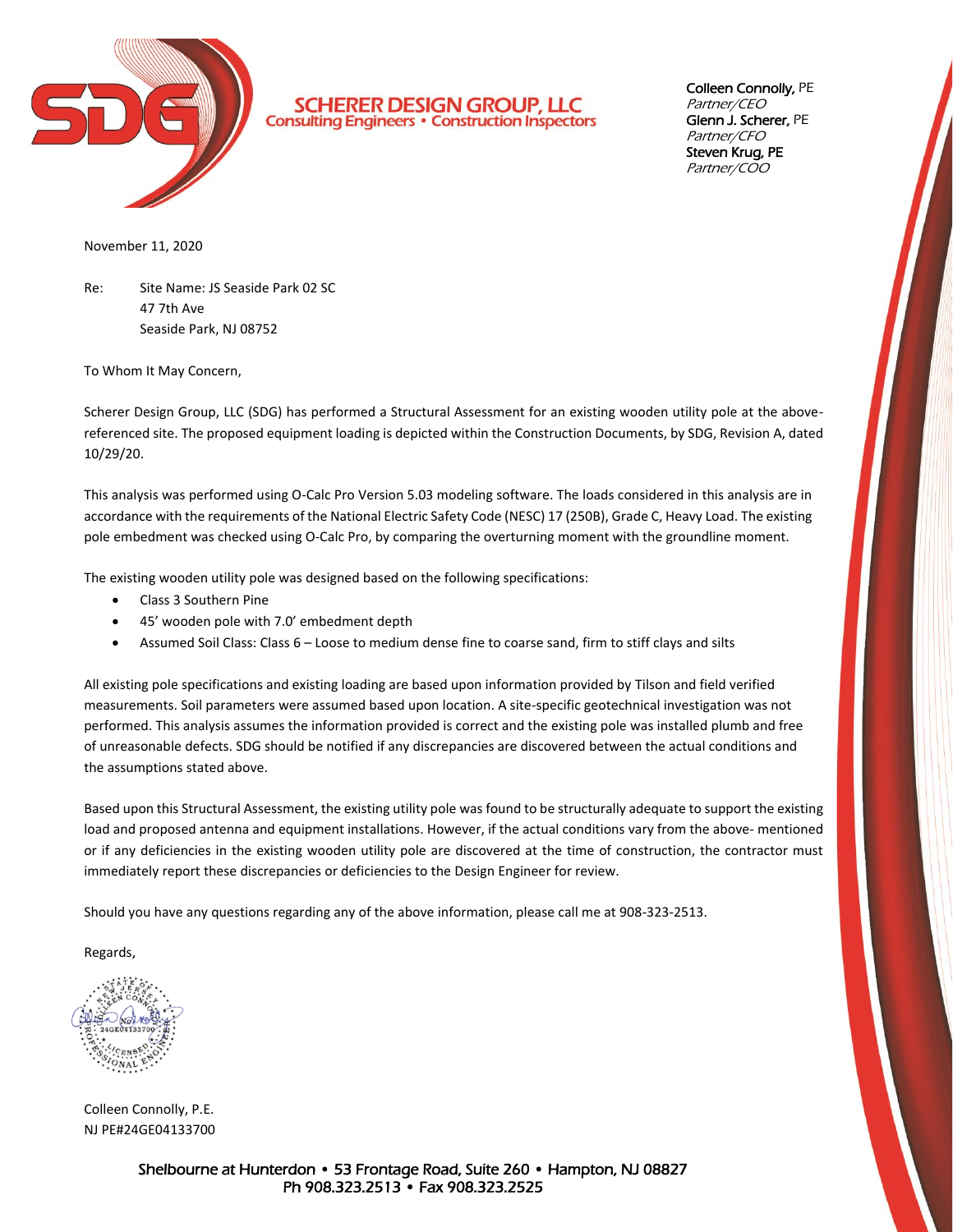

**SCHERER DESIGN GROUP, LLC**<br>Consulting Engineers · Construction Inspectors

Colleen Connolly, PE Partner/CEO Glenn J. Scherer, PE Partner/CFO Steven Krug, PE Partner/COO

November 11, 2020

Re: Site Name: JS Seaside Park 02 SC 47 7th Ave Seaside Park, NJ 08752

To Whom It May Concern,

Scherer Design Group, LLC (SDG) has performed a Structural Assessment for an existing wooden utility pole at the abovereferenced site. The proposed equipment loading is depicted within the Construction Documents, by SDG, Revision A, dated 10/29/20.

This analysis was performed using O-Calc Pro Version 5.03 modeling software. The loads considered in this analysis are in accordance with the requirements of the National Electric Safety Code (NESC) 17 (250B), Grade C, Heavy Load. The existing pole embedment was checked using O-Calc Pro, by comparing the overturning moment with the groundline moment.

The existing wooden utility pole was designed based on the following specifications:

- Class 3 Southern Pine
- 45' wooden pole with 7.0' embedment depth
- Assumed Soil Class: Class 6 Loose to medium dense fine to coarse sand, firm to stiff clays and silts

All existing pole specifications and existing loading are based upon information provided by Tilson and field verified measurements. Soil parameters were assumed based upon location. A site-specific geotechnical investigation was not performed. This analysis assumes the information provided is correct and the existing pole was installed plumb and free of unreasonable defects. SDG should be notified if any discrepancies are discovered between the actual conditions and the assumptions stated above.

Based upon this Structural Assessment, the existing utility pole was found to be structurally adequate to support the existing load and proposed antenna and equipment installations. However, if the actual conditions vary from the above- mentioned or if any deficiencies in the existing wooden utility pole are discovered at the time of construction, the contractor must immediately report these discrepancies or deficiencies to the Design Engineer for review.

Should you have any questions regarding any of the above information, please call me at 908-323-2513.

Regards,

Colleen Connolly, P.E. NJ PE#24GE04133700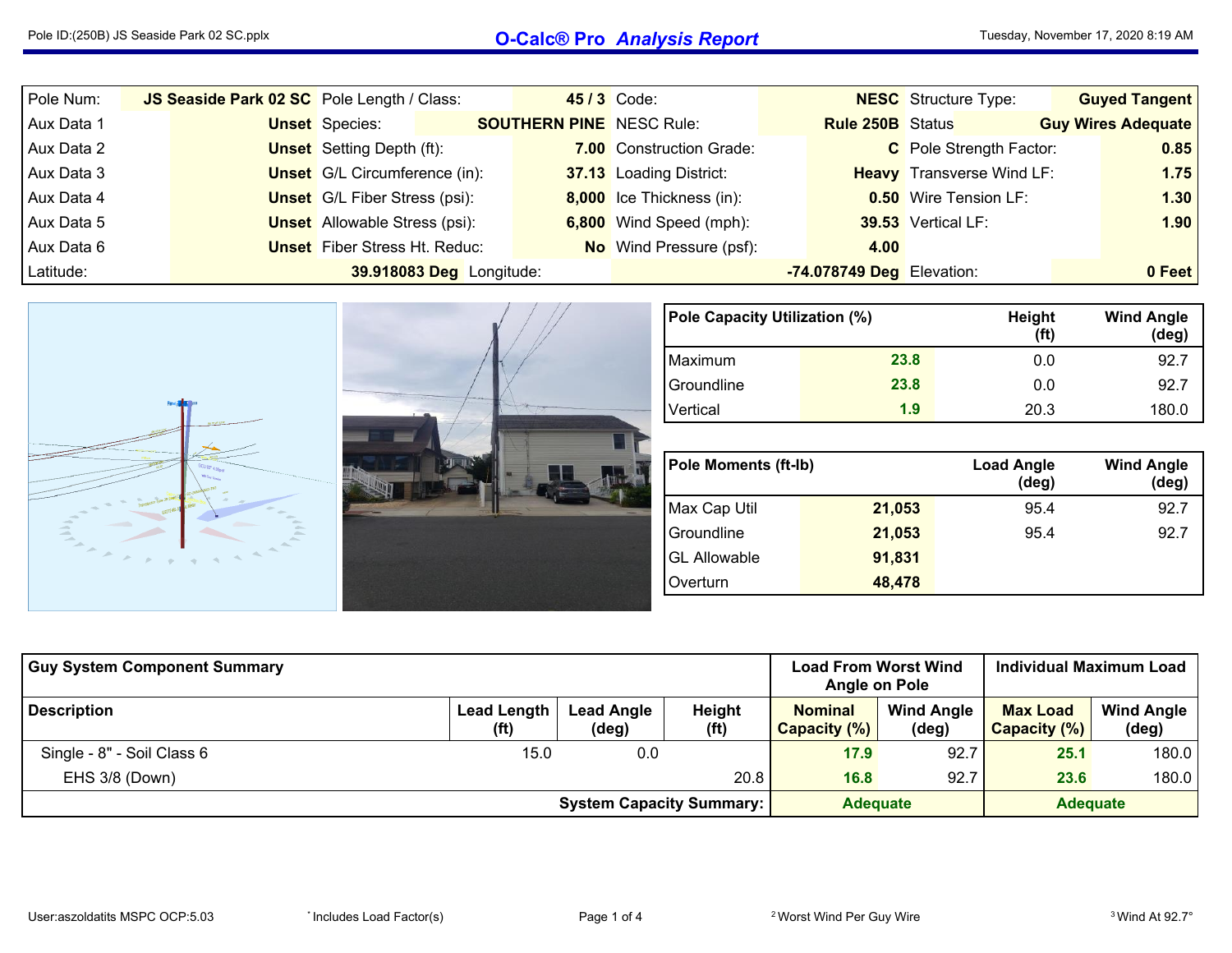## Pole ID:(250B) JS Seaside Park <sup>02</sup> SC.pplx **O-Calc® Pro** *Analysis Report*

| Pole Num:  | JS Seaside Park 02 SC Pole Length / Class: |                          |  | <b>45/3 Code:</b>               |                           | <b>NESC</b> Structure Type:      | <b>Guyed Tangent</b>      |
|------------|--------------------------------------------|--------------------------|--|---------------------------------|---------------------------|----------------------------------|---------------------------|
| Aux Data 1 | <b>Unset</b> Species:                      |                          |  | <b>SOUTHERN PINE</b> NESC Rule: | <b>Rule 250B</b> Status   |                                  | <b>Guy Wires Adequate</b> |
| Aux Data 2 | <b>Unset</b> Setting Depth (ft):           |                          |  | 7.00 Construction Grade:        |                           | C Pole Strength Factor:          | 0.85                      |
| Aux Data 3 | <b>Unset</b> G/L Circumference (in):       |                          |  | 37.13 Loading District:         |                           | <b>Heavy</b> Transverse Wind LF: | 1.75                      |
| Aux Data 4 | <b>Unset</b> G/L Fiber Stress (psi):       |                          |  | 8,000 Ice Thickness (in):       |                           | <b>0.50</b> Wire Tension LF:     | 1.30                      |
| Aux Data 5 | <b>Unset</b> Allowable Stress (psi):       |                          |  | 6,800 Wind Speed (mph):         |                           | 39.53 Vertical LF:               | 1.90                      |
| Aux Data 6 | <b>Unset</b> Fiber Stress Ht. Reduc:       |                          |  | <b>No</b> Wind Pressure (psf):  | 4.00                      |                                  |                           |
| Latitude:  |                                            | 39.918083 Deg Longitude: |  |                                 | -74.078749 Deg Elevation: |                                  | 0 Feet                    |

| Pane<br>$100 - 100 = 100$<br>COU 93° 4.00psf<br><b>Change</b><br><b>Min City Services</b><br>$-$<br><b>Allen</b><br>$\frac{1}{2} \left( \frac{1}{2} \right) \left( \frac{1}{2} \right) \left( \frac{1}{2} \right)$<br>$\sim$<br>$\sim$<br>Contract of<br><b>Allen</b><br>200<br>× |  |
|-----------------------------------------------------------------------------------------------------------------------------------------------------------------------------------------------------------------------------------------------------------------------------------|--|
|-----------------------------------------------------------------------------------------------------------------------------------------------------------------------------------------------------------------------------------------------------------------------------------|--|

| Pole Capacity Utilization (%) |      | Height<br>(f <sup>t</sup> ) | <b>Wind Angle</b><br>$(\text{deg})$ |
|-------------------------------|------|-----------------------------|-------------------------------------|
| Maximum                       | 23.8 | 0.0                         | 92.7                                |
| Groundline                    | 23.8 | 0.0                         | 92.7                                |
| Vertical                      | 1.9  | 20.3                        | 180.0                               |

| <b>Pole Moments (ft-Ib)</b> |        | <b>Load Angle</b><br>$(\deg)$ | <b>Wind Angle</b><br>(deg) |
|-----------------------------|--------|-------------------------------|----------------------------|
| Max Cap Util                | 21,053 | 95.4                          | 92.7                       |
| Groundline                  | 21,053 | 95.4                          | 92.7                       |
| <b>GL Allowable</b>         | 91,831 |                               |                            |
| Overturn                    | 48,478 |                               |                            |

| <b>Guy System Component Summary</b> |                                                    | <b>Load From Worst Wind</b><br>Angle on Pole |                             | <b>Individual Maximum Load</b> |                            |                                 |                            |
|-------------------------------------|----------------------------------------------------|----------------------------------------------|-----------------------------|--------------------------------|----------------------------|---------------------------------|----------------------------|
| <b>Description</b>                  | <b>Lead Length</b><br>(ft)                         | <b>Lead Angle</b><br>(deg)                   | Height<br>(f <sup>t</sup> ) | <b>Nominal</b><br>Capacity (%) | <b>Wind Angle</b><br>(deg) | <b>Max Load</b><br>Capacity (%) | <b>Wind Angle</b><br>(deg) |
| Single - 8" - Soil Class 6          | 15.0                                               | 0.0                                          |                             | 17.9                           | 92.7                       | 25.1                            | 180.0                      |
| EHS 3/8 (Down)                      |                                                    |                                              | 20.8                        | 16.8                           | 92.7                       | 23.6                            | 180.0                      |
|                                     | <b>Adequate</b><br><b>System Capacity Summary:</b> |                                              | <b>Adequate</b>             |                                |                            |                                 |                            |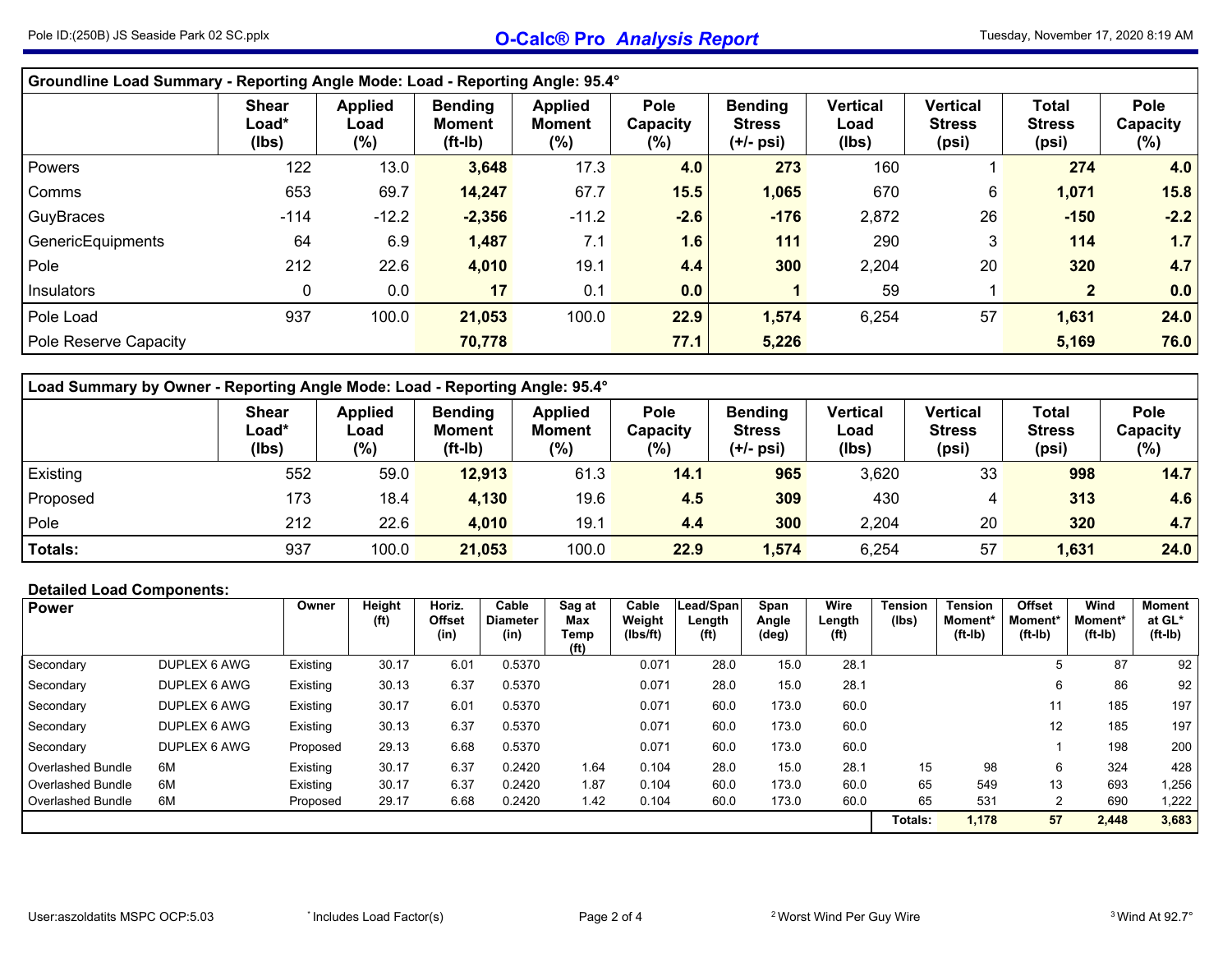| Groundline Load Summary - Reporting Angle Mode: Load - Reporting Angle: 95.4° |                                          |                                  |                                              |                                            |                                    |                                              |                                  |                                           |                                        |                                   |  |  |  |  |
|-------------------------------------------------------------------------------|------------------------------------------|----------------------------------|----------------------------------------------|--------------------------------------------|------------------------------------|----------------------------------------------|----------------------------------|-------------------------------------------|----------------------------------------|-----------------------------------|--|--|--|--|
|                                                                               | <b>Shear</b><br>Load*<br>(Ibs)           | <b>Applied</b><br>Load<br>$(\%)$ | <b>Bending</b><br><b>Moment</b><br>$(ft-lb)$ | <b>Applied</b><br><b>Moment</b><br>$(\% )$ | <b>Pole</b><br>Capacity<br>$(\% )$ | <b>Bending</b><br><b>Stress</b><br>(+/- psi) | <b>Vertical</b><br>Load<br>(lbs) | <b>Vertical</b><br><b>Stress</b><br>(psi) | <b>Total</b><br><b>Stress</b><br>(psi) | <b>Pole</b><br>Capacity<br>$(\%)$ |  |  |  |  |
| Powers                                                                        | 122                                      | 13.0                             | 3,648                                        | 17.3                                       | 4.0                                | 273                                          | 160                              |                                           | 274                                    | 4.0                               |  |  |  |  |
| Comms                                                                         | 653                                      | 69.7                             | 14,247                                       | 67.7                                       | 15.5                               | 1,065                                        | 670                              | 6                                         | 1,071                                  | 15.8                              |  |  |  |  |
| GuyBraces                                                                     | $-114$                                   | $-12.2$                          | $-2,356$                                     | $-11.2$                                    | $-2.6$                             | $-176$                                       | 2,872                            | 26                                        | $-150$                                 | $-2.2$                            |  |  |  |  |
| GenericEquipments                                                             | 64                                       | 6.9                              | 1,487                                        | 7.1                                        | 1.6                                | 111                                          | 290                              | 3                                         | 114                                    | 1.7                               |  |  |  |  |
| Pole                                                                          | 212                                      | 22.6                             | 4,010                                        | 19.1                                       | 4.4                                | 300                                          | 2,204                            | 20                                        | 320                                    | 4.7                               |  |  |  |  |
| Insulators                                                                    | 0                                        | 0.0                              | 17                                           | 0.1                                        | 0.0                                |                                              | 59                               |                                           | 2 <sup>2</sup>                         | 0.0                               |  |  |  |  |
| Pole Load                                                                     | 937                                      | 100.0                            | 21,053                                       | 100.0                                      | 22.9                               | 1,574                                        | 6,254                            | 57                                        | 1,631                                  | 24.0                              |  |  |  |  |
| Pole Reserve Capacity                                                         | 76.0<br>70,778<br>77.1<br>5,226<br>5,169 |                                  |                                              |                                            |                                    |                                              |                                  |                                           |                                        |                                   |  |  |  |  |

| Load Summary by Owner - Reporting Angle Mode: Load - Reporting Angle: 95.4° |                                                                                                                                                                                                                                                                                                                                                                                                                       |       |        |       |      |       |       |    |       |      |  |  |  |  |  |
|-----------------------------------------------------------------------------|-----------------------------------------------------------------------------------------------------------------------------------------------------------------------------------------------------------------------------------------------------------------------------------------------------------------------------------------------------------------------------------------------------------------------|-------|--------|-------|------|-------|-------|----|-------|------|--|--|--|--|--|
|                                                                             | Pole<br><b>Applied</b><br>Vertical<br><b>Vertical</b><br>Pole<br><b>Bending</b><br><b>Total</b><br><b>Bending</b><br><b>Shear</b><br><b>Applied</b><br>$\text{\textsf{Load}}^{\star}$<br><b>Stress</b><br><b>Stress</b><br><b>Moment</b><br>Capacity<br><b>Stress</b><br><b>Moment</b><br>Load<br>Capacity<br>Load<br>$(\% )$<br>(%)<br>$(\%)$<br>(%)<br>(Ibs)<br>$(ft-lb)$<br>(Ibs)<br>(psi)<br>(psi)<br>$(+/-$ psi) |       |        |       |      |       |       |    |       |      |  |  |  |  |  |
| Existing                                                                    | 552                                                                                                                                                                                                                                                                                                                                                                                                                   | 59.0  | 12,913 | 61.3  | 14.1 | 965   | 3,620 | 33 | 998   | 14.7 |  |  |  |  |  |
| Proposed                                                                    | 173                                                                                                                                                                                                                                                                                                                                                                                                                   | 18.4  | 4,130  | 19.6  | 4.5  | 309   | 430   | 4  | 313   | 4.6  |  |  |  |  |  |
| Pole                                                                        | 212                                                                                                                                                                                                                                                                                                                                                                                                                   | 22.6  | 4,010  | 19.1  | 4.4  | 300   | 2,204 | 20 | 320   | 4.7  |  |  |  |  |  |
| Totals:                                                                     | 937                                                                                                                                                                                                                                                                                                                                                                                                                   | 100.0 | 21,053 | 100.0 | 22.9 | 1,574 | 6,254 | 57 | 1,631 | 24.0 |  |  |  |  |  |

## **Detailed Load Components:**

| <b>Power</b>      |              | Owner    | Height<br>(f <sup>t</sup> ) | Horiz.<br><b>Offset</b><br>(in) | Cable<br><b>Diameter</b><br>(in) | Sag at<br>Max<br>Temp<br>(f <sup>t</sup> ) | Cable<br>Weight<br>(Ibs/ft) | Lead/Span<br>Length<br>(f <sup>t</sup> ) | Span<br>Angle<br>(deg) | Wire<br>Length<br>(f <sup>t</sup> ) | <b>Tension</b><br>(lbs) | <b>Tension</b><br><b>Moment</b> *<br>$(ft-lb)$ | <b>Offset</b><br>Moment*<br>$(ft-lb)$ | Wind<br>Moment*<br>$(ft-lb)$ | Moment  <br>at GL*<br>(ft-Ib) |
|-------------------|--------------|----------|-----------------------------|---------------------------------|----------------------------------|--------------------------------------------|-----------------------------|------------------------------------------|------------------------|-------------------------------------|-------------------------|------------------------------------------------|---------------------------------------|------------------------------|-------------------------------|
| Secondary         | DUPLEX 6 AWG | Existing | 30.17                       | 6.01                            | 0.5370                           |                                            | 0.071                       | 28.0                                     | 15.0                   | 28.1                                |                         |                                                |                                       | 87                           | 92,                           |
| Secondary         | DUPLEX 6 AWG | Existing | 30.13                       | 6.37                            | 0.5370                           |                                            | 0.071                       | 28.0                                     | 15.0                   | 28.1                                |                         |                                                | 6                                     | 86                           | 92                            |
| Secondary         | DUPLEX 6 AWG | Existing | 30.17                       | 6.01                            | 0.5370                           |                                            | 0.071                       | 60.0                                     | 173.0                  | 60.0                                |                         |                                                | 11                                    | 185                          | 197                           |
| Secondary         | DUPLEX 6 AWG | Existing | 30.13                       | 6.37                            | 0.5370                           |                                            | 0.071                       | 60.0                                     | 173.0                  | 60.0                                |                         |                                                | 12                                    | 185                          | 197                           |
| Secondary         | DUPLEX 6 AWG | Proposed | 29.13                       | 6.68                            | 0.5370                           |                                            | 0.071                       | 60.0                                     | 173.0                  | 60.0                                |                         |                                                |                                       | 198                          | 200                           |
| Overlashed Bundle | 6M           | Existing | 30.17                       | 6.37                            | 0.2420                           | 1.64                                       | 0.104                       | 28.0                                     | 15.0                   | 28.1                                | 15                      | 98                                             | 6                                     | 324                          | 428                           |
| Overlashed Bundle | 6M           | Existing | 30.17                       | 6.37                            | 0.2420                           | 1.87                                       | 0.104                       | 60.0                                     | 173.0                  | 60.0                                | 65                      | 549                                            | 13                                    | 693                          | 1,256                         |
| Overlashed Bundle | 6M           | Proposed | 29.17                       | 6.68                            | 0.2420                           | 1.42                                       | 0.104                       | 60.0                                     | 173.0                  | 60.0                                | 65                      | 531                                            |                                       | 690                          | 1,222                         |
|                   |              |          |                             |                                 |                                  |                                            |                             |                                          |                        |                                     | Totals:                 | 1,178                                          | 57                                    | 2,448                        | 3,683                         |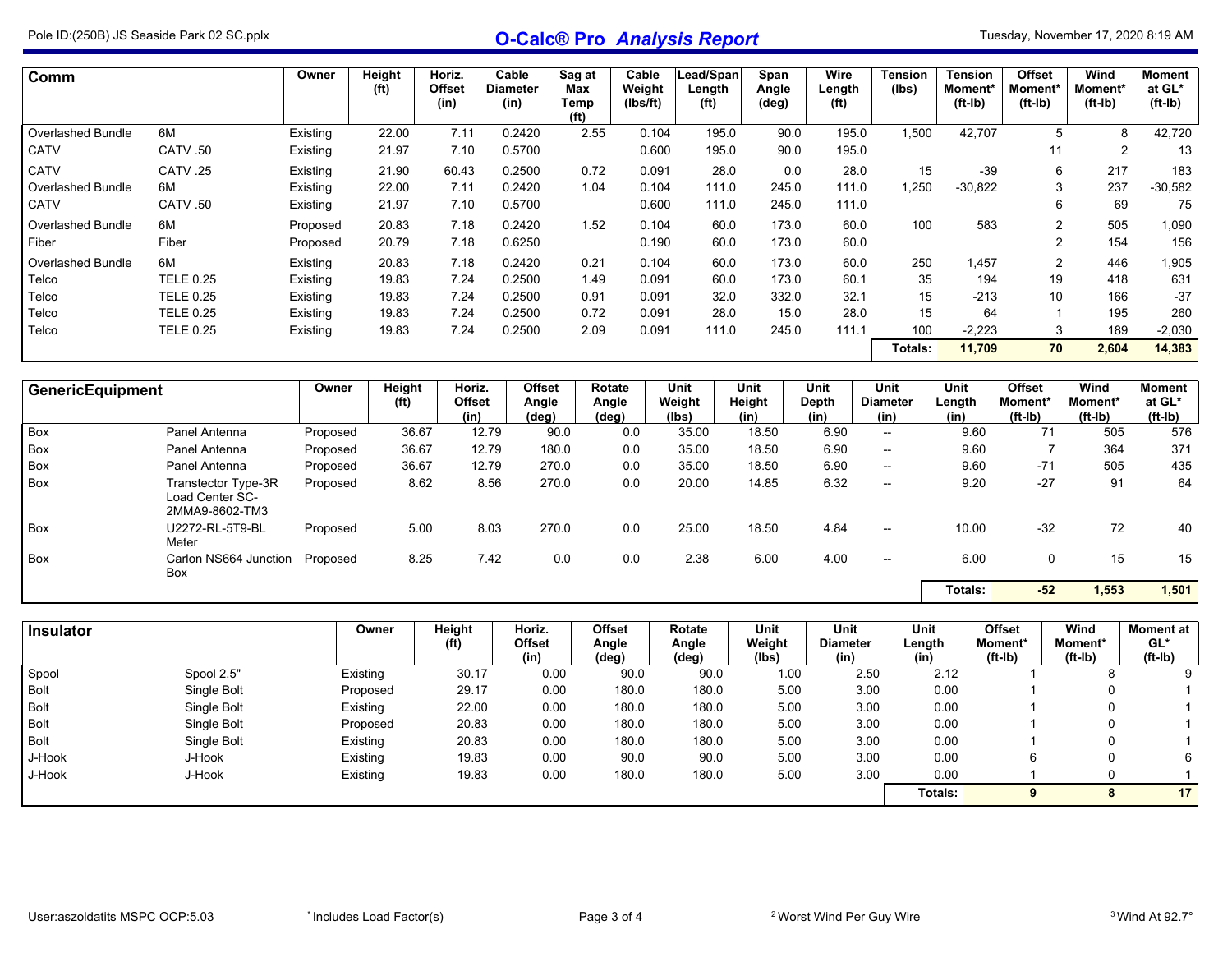## Pole ID:(250B) JS Seaside Park <sup>02</sup> SC.pplx **O-Calc® Pro** *Analysis Report*

| Comm                     |                  | Owner    | Height<br>(f <sup>t</sup> ) | Horiz.<br><b>Offset</b><br>(in) | Cable<br><b>Diameter</b><br>(in) | Sag at<br>Max<br>Temp | Cable<br>Weight<br>(Ibs/ft) | Lead/Span<br>Length<br>(f <sup>t</sup> ) | Span<br>Angle<br>(deg) | Wire<br>Length<br>(f <sup>t</sup> ) | <b>Tension</b><br>(lbs) | <b>Tension</b><br>Moment*<br>$(ft-lb)$ | <b>Offset</b><br>Moment*<br>$(ft-lb)$ | Wind<br>Moment*<br>$(ft-lb)$ | <b>Moment</b><br>at GL*<br>$(ft-lb)$ |
|--------------------------|------------------|----------|-----------------------------|---------------------------------|----------------------------------|-----------------------|-----------------------------|------------------------------------------|------------------------|-------------------------------------|-------------------------|----------------------------------------|---------------------------------------|------------------------------|--------------------------------------|
|                          |                  |          |                             |                                 |                                  | (f <sup>t</sup> )     |                             |                                          |                        |                                     |                         |                                        |                                       |                              |                                      |
| <b>Overlashed Bundle</b> | 6M               | Existing | 22.00                       | 7.11                            | 0.2420                           | 2.55                  | 0.104                       | 195.0                                    | 90.0                   | 195.0                               | 1,500                   | 42,707                                 | 5                                     | 8                            | 42,720                               |
| <b>CATV</b>              | CATV .50         | Existing | 21.97                       | 7.10                            | 0.5700                           |                       | 0.600                       | 195.0                                    | 90.0                   | 195.0                               |                         |                                        | 11                                    | 2                            | 13                                   |
| <b>CATV</b>              | CATV .25         | Existing | 21.90                       | 60.43                           | 0.2500                           | 0.72                  | 0.091                       | 28.0                                     | 0.0                    | 28.0                                | 15                      | $-39$                                  | 6                                     | 217                          | 183                                  |
| <b>Overlashed Bundle</b> | 6M               | Existing | 22.00                       | 7.11                            | 0.2420                           | 1.04                  | 0.104                       | 111.0                                    | 245.0                  | 111.0                               | 1,250                   | $-30,822$                              | 3                                     | 237                          | $-30,582$                            |
| CATV                     | CATV .50         | Existing | 21.97                       | 7.10                            | 0.5700                           |                       | 0.600                       | 111.0                                    | 245.0                  | 111.0                               |                         |                                        | 6                                     | 69                           | 75                                   |
| <b>Overlashed Bundle</b> | 6M               | Proposed | 20.83                       | 7.18                            | 0.2420                           | 1.52                  | 0.104                       | 60.0                                     | 173.0                  | 60.0                                | 100                     | 583                                    | 2                                     | 505                          | 1,090                                |
| Fiber                    | Fiber            | Proposed | 20.79                       | 7.18                            | 0.6250                           |                       | 0.190                       | 60.0                                     | 173.0                  | 60.0                                |                         |                                        | C                                     | 154                          | 156                                  |
| Overlashed Bundle        | 6M               | Existing | 20.83                       | 7.18                            | 0.2420                           | 0.21                  | 0.104                       | 60.0                                     | 173.0                  | 60.0                                | 250                     | 1,457                                  | 2                                     | 446                          | 1,905                                |
| Telco                    | <b>TELE 0.25</b> | Existing | 19.83                       | 7.24                            | 0.2500                           | 1.49                  | 0.091                       | 60.0                                     | 173.0                  | 60.1                                | 35                      | 194                                    | 19                                    | 418                          | 631                                  |
| Telco                    | <b>TELE 0.25</b> | Existing | 19.83                       | 7.24                            | 0.2500                           | 0.91                  | 0.091                       | 32.0                                     | 332.0                  | 32.1                                | 15                      | $-213$                                 | 10                                    | 166                          | $-37$                                |
| Telco                    | <b>TELE 0.25</b> | Existing | 19.83                       | 7.24                            | 0.2500                           | 0.72                  | 0.091                       | 28.0                                     | 15.0                   | 28.0                                | 15                      | 64                                     |                                       | 195                          | 260                                  |
| Telco                    | <b>TELE 0.25</b> | Existing | 19.83                       | 7.24                            | 0.2500                           | 2.09                  | 0.091                       | 111.0                                    | 245.0                  | 111.1                               | 100                     | $-2,223$                               | 3                                     | 189                          | $-2,030$                             |
|                          |                  |          |                             |                                 |                                  |                       |                             |                                          |                        |                                     | Totals:                 | 11,709                                 | 70                                    | 2,604                        | 14,383                               |

| <b>GenericEquipment</b> |                                                          | Owner    | Height<br>(f <sup>t</sup> ) | Horiz.<br><b>Offset</b><br>(in) | <b>Offset</b><br>Angle<br>(deg) | Rotate<br>Angle<br>(deg) | Unit<br>Weight<br>(lbs) | Unit<br>Height<br>(in) | Unit<br>Depth<br>(in) | Unit<br><b>Diameter</b><br>(in) | Unit<br>Length<br>(in) | <b>Offset</b><br>Moment*<br>$(ft-lb)$ | Wind<br>Moment*<br>$(ft-lb)$ | <b>Moment</b><br>at GL*<br>$(ft-lb)$ |
|-------------------------|----------------------------------------------------------|----------|-----------------------------|---------------------------------|---------------------------------|--------------------------|-------------------------|------------------------|-----------------------|---------------------------------|------------------------|---------------------------------------|------------------------------|--------------------------------------|
| Box                     | Panel Antenna                                            | Proposed | 36.67                       | 12.79                           | 90.0                            | 0.0                      | 35.00                   | 18.50                  | 6.90                  | $\hspace{0.05cm}$               | 9.60                   | 71                                    | 505                          | 576                                  |
| <b>Box</b>              | Panel Antenna                                            | Proposed | 36.67                       | 12.79                           | 180.0                           | 0.0                      | 35.00                   | 18.50                  | 6.90                  | $\hspace{0.05cm}$               | 9.60                   |                                       | 364                          | 371                                  |
| <b>Box</b>              | Panel Antenna                                            | Proposed | 36.67                       | 12.79                           | 270.0                           | 0.0                      | 35.00                   | 18.50                  | 6.90                  | $\hspace{0.05cm}$               | 9.60                   | $-71$                                 | 505                          | 435                                  |
| <b>Box</b>              | Transtector Type-3R<br>Load Center SC-<br>2MMA9-8602-TM3 | Proposed | 8.62                        | 8.56                            | 270.0                           | 0.0                      | 20.00                   | 14.85                  | 6.32                  | $\overline{\phantom{a}}$        | 9.20                   | $-27$                                 | 91                           | 64                                   |
| <b>Box</b>              | U2272-RL-5T9-BL<br>Meter                                 | Proposed | 5.00                        | 8.03                            | 270.0                           | 0.0                      | 25.00                   | 18.50                  | 4.84                  | $\overline{\phantom{a}}$        | 10.00                  | $-32$                                 | 72                           | 40                                   |
| <b>Box</b>              | Carlon NS664 Junction<br>Box                             | Proposed | 8.25                        | 7.42                            | 0.0                             | 0.0                      | 2.38                    | 6.00                   | 4.00                  | $\overline{\phantom{a}}$        | 6.00                   | 0                                     | 15                           | 15                                   |
|                         |                                                          |          |                             |                                 |                                 |                          |                         |                        |                       |                                 | Totals:                | $-52$                                 | 1,553                        | 1,501                                |

| <b>Insulator</b> |             |          | Height<br>(f <sup>t</sup> ) | Horiz.<br>Offset | <b>Offset</b><br>Angle | Rotate<br>Angle | Unit<br>Weight | Unit<br><b>Diameter</b> | Unit<br>Length | <b>Offset</b><br>Moment* | Wind<br>Moment* | Moment at  <br>GL* |
|------------------|-------------|----------|-----------------------------|------------------|------------------------|-----------------|----------------|-------------------------|----------------|--------------------------|-----------------|--------------------|
|                  |             |          |                             | (in)             | (deg)                  | (deg)           | (lbs)          | (in)                    | (in)           | $(ft-lb)$                | (ft-Ib)         | $(ft-lb)$          |
| Spool            | Spool 2.5"  | Existing | 30.17                       | 0.00             | 90.0                   | 90.0            | 1.00           | 2.50                    | 2.12           |                          | ο               | 9                  |
| <b>Bolt</b>      | Single Bolt | Proposed | 29.17                       | 0.00             | 180.0                  | 180.0           | 5.00           | 3.00                    | 0.00           |                          | 0               |                    |
| <b>Bolt</b>      | Single Bolt | Existing | 22.00                       | 0.00             | 180.0                  | 180.0           | 5.00           | 3.00                    | 0.00           |                          | 0               |                    |
| <b>Bolt</b>      | Single Bolt | Proposed | 20.83                       | 0.00             | 180.0                  | 180.0           | 5.00           | 3.00                    | 0.00           |                          | 0               |                    |
| <b>Bolt</b>      | Single Bolt | Existing | 20.83                       | 0.00             | 180.0                  | 180.0           | 5.00           | 3.00                    | 0.00           |                          | 0               |                    |
| J-Hook           | J-Hook      | Existing | 19.83                       | 0.00             | 90.0                   | 90.0            | 5.00           | 3.00                    | 0.00           |                          | 0               | 6                  |
| J-Hook           | J-Hook      | Existing | 19.83                       | 0.00             | 180.0                  | 180.0           | 5.00           | 3.00                    | 0.00           |                          |                 |                    |
|                  |             |          |                             |                  |                        |                 |                |                         | Totals:        |                          |                 | 17                 |